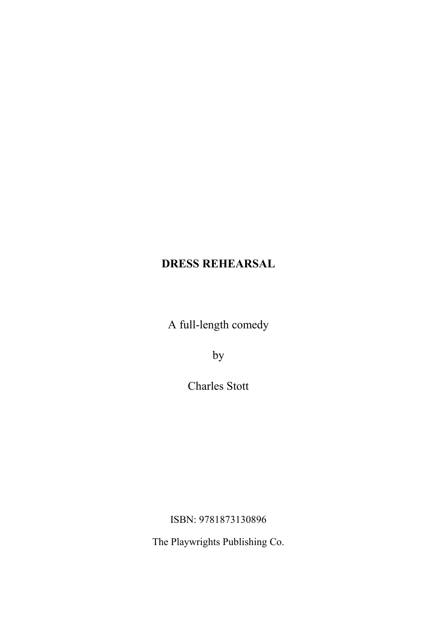A full-length comedy

by

Charles Stott

ISBN: 9781873130896

The Playwrights Publishing Co.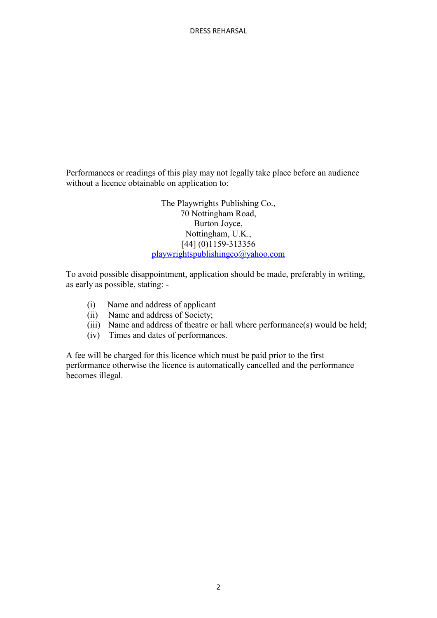Performances or readings of this play may not legally take place before an audience without a licence obtainable on application to:

> The Playwrights Publishing Co., 70 Nottingham Road, Burton Joyce, Nottingham, U.K., [44] (0)1159-313356 playwrightspublishingco@yahoo.com

To avoid possible disappointment, application should be made, preferably in writing, as early as possible, stating: -

- (i) Name and address of applicant
- (ii) Name and address of Society;
- (iii) Name and address of theatre or hall where performance(s) would be held;
- (iv) Times and dates of performances.

A fee will be charged for this licence which must be paid prior to the first performance otherwise the licence is automatically cancelled and the performance becomes illegal.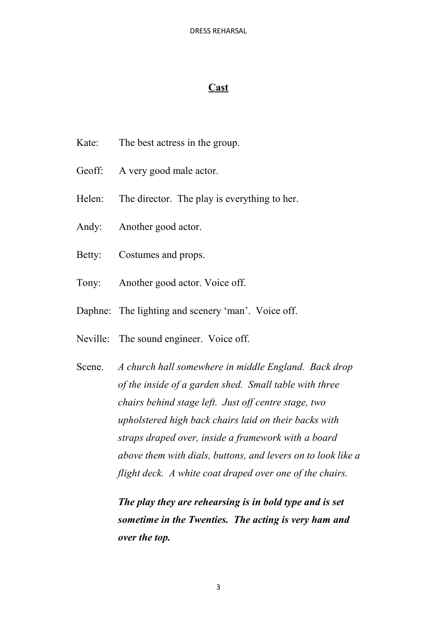## **Cast**

- Kate: The best actress in the group.
- Geoff: A very good male actor.
- Helen: The director. The play is everything to her.
- Andy: Another good actor.
- Betty: Costumes and props.
- Tony: Another good actor. Voice off.
- Daphne: The lighting and scenery 'man'. Voice off.
- Neville: The sound engineer. Voice off.

Scene. *A church hall somewhere in middle England. Back drop of the inside of a garden shed. Small table with three chairs behind stage left. Just off centre stage, two upholstered high back chairs laid on their backs with straps draped over, inside a framework with a board above them with dials, buttons, and levers on to look like a flight deck. A white coat draped over one of the chairs.*

> *The play they are rehearsing is in bold type and is set sometime in the Twenties. The acting is very ham and over the top.*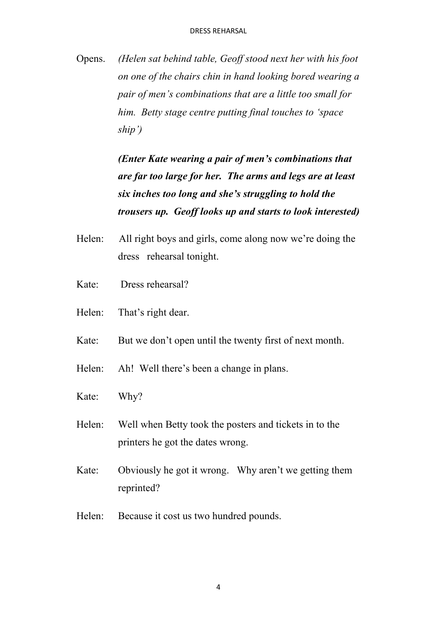Opens. *(Helen sat behind table, Geoff stood next her with his foot on one of the chairs chin in hand looking bored wearing a pair of men's combinations that are a little too small for him. Betty stage centre putting final touches to 'space ship')*

> *(Enter Kate wearing a pair of men's combinations that are far too large for her. The arms and legs are at least six inches too long and she's struggling to hold the trousers up. Geoff looks up and starts to look interested)*

- Helen: All right boys and girls, come along now we're doing the dress rehearsal tonight.
- Kate: Dress rehearsal?
- Helen: That's right dear.
- Kate: But we don't open until the twenty first of next month.
- Helen: Ah! Well there's been a change in plans.
- Kate: Why?
- Helen: Well when Betty took the posters and tickets in to the printers he got the dates wrong.
- Kate: Obviously he got it wrong. Why aren't we getting them reprinted?
- Helen: Because it cost us two hundred pounds.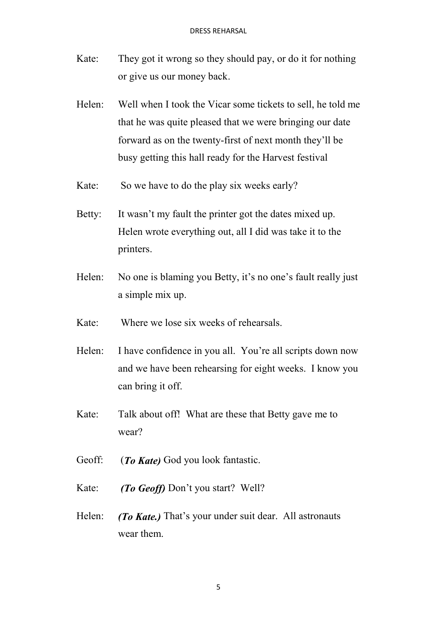- Kate: They got it wrong so they should pay, or do it for nothing or give us our money back.
- Helen: Well when I took the Vicar some tickets to sell, he told me that he was quite pleased that we were bringing our date forward as on the twenty-first of next month they'll be busy getting this hall ready for the Harvest festival
- Kate: So we have to do the play six weeks early?
- Betty: It wasn't my fault the printer got the dates mixed up. Helen wrote everything out, all I did was take it to the printers.
- Helen: No one is blaming you Betty, it's no one's fault really just a simple mix up.
- Kate: Where we lose six weeks of rehearsals.
- Helen: I have confidence in you all. You're all scripts down now and we have been rehearsing for eight weeks. I know you can bring it off.
- Kate: Talk about off! What are these that Betty gave me to wear?
- Geoff: (*To Kate)* God you look fantastic.
- Kate: *(To Geoff)* Don't you start? Well?
- Helen: *(To Kate.)* That's your under suit dear. All astronauts wear them.

5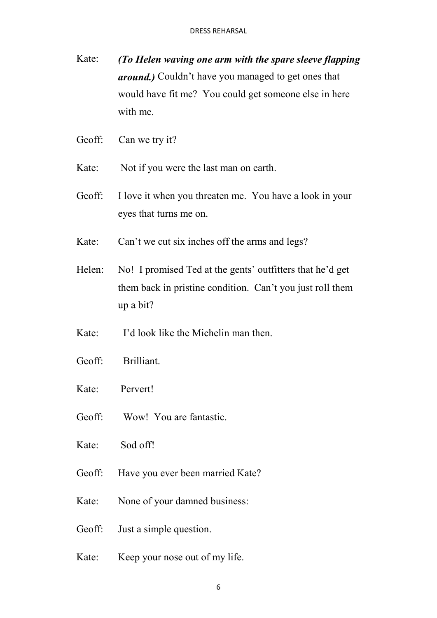- Kate: *(To Helen waving one arm with the spare sleeve flapping around.)* Couldn't have you managed to get ones that would have fit me? You could get someone else in here with me.
- Geoff: Can we try it?
- Kate: Not if you were the last man on earth.
- Geoff: I love it when you threaten me. You have a look in your eyes that turns me on.
- Kate: Can't we cut six inches off the arms and legs?
- Helen: No! I promised Ted at the gents' outfitters that he'd get them back in pristine condition. Can't you just roll them up a bit?
- Kate: I'd look like the Michelin man then.
- Geoff: Brilliant.
- Kate: Pervert!
- Geoff: Wow! You are fantastic.
- Kate: Sod off!
- Geoff: Have you ever been married Kate?
- Kate: None of your damned business:
- Geoff: Just a simple question.
- Kate: Keep your nose out of my life.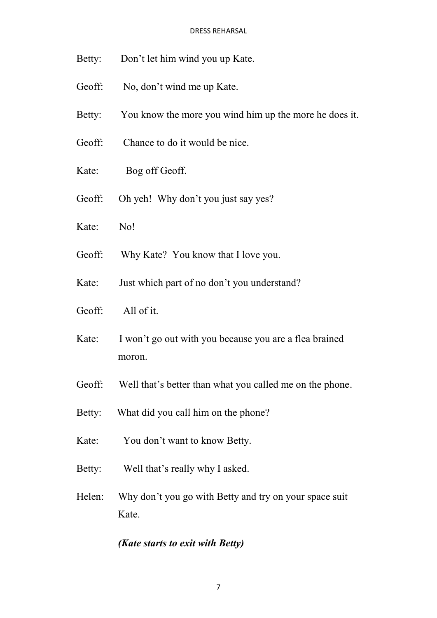- Betty: Don't let him wind you up Kate.
- Geoff: No, don't wind me up Kate.
- Betty: You know the more you wind him up the more he does it.
- Geoff: Chance to do it would be nice.
- Kate: Bog off Geoff.
- Geoff: Oh yeh! Why don't you just say yes?
- Kate: No!
- Geoff: Why Kate? You know that I love you.
- Kate: Just which part of no don't you understand?
- Geoff: All of it.
- Kate: I won't go out with you because you are a flea brained moron.
- Geoff: Well that's better than what you called me on the phone.
- Betty: What did you call him on the phone?
- Kate: You don't want to know Betty.
- Betty: Well that's really why I asked.
- Helen: Why don't you go with Betty and try on your space suit Kate.

### *(Kate starts to exit with Betty)*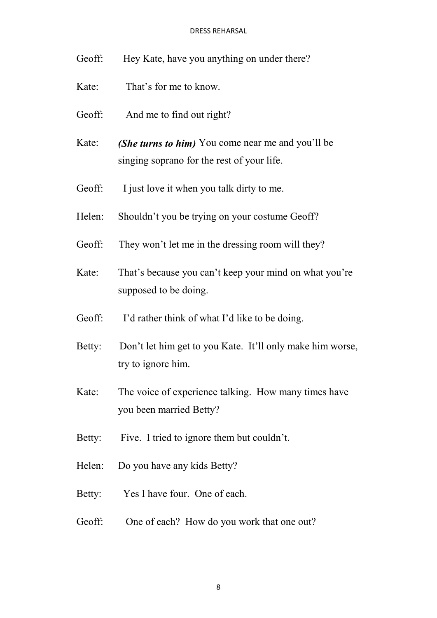- Geoff: Hey Kate, have you anything on under there?
- Kate: That's for me to know.
- Geoff: And me to find out right?
- Kate: *(She turns to him)* You come near me and you'll be singing soprano for the rest of your life.
- Geoff: I just love it when you talk dirty to me.
- Helen: Shouldn't you be trying on your costume Geoff?
- Geoff: They won't let me in the dressing room will they?
- Kate: That's because you can't keep your mind on what you're supposed to be doing.
- Geoff: I'd rather think of what I'd like to be doing.
- Betty: Don't let him get to you Kate. It'll only make him worse, try to ignore him.
- Kate: The voice of experience talking. How many times have you been married Betty?
- Betty: Five. I tried to ignore them but couldn't.
- Helen: Do you have any kids Betty?
- Betty: Yes I have four. One of each.
- Geoff: One of each? How do you work that one out?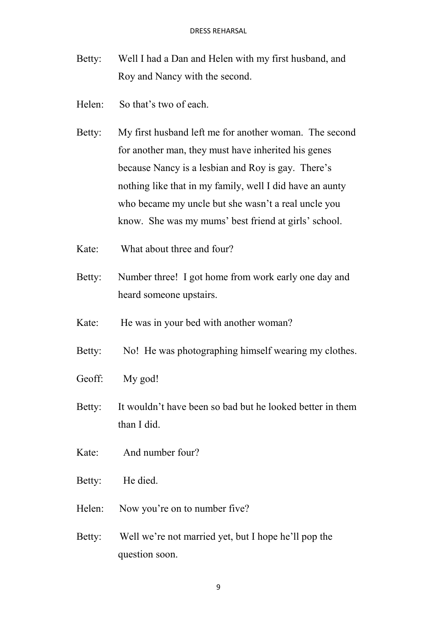- Betty: Well I had a Dan and Helen with my first husband, and Roy and Nancy with the second.
- Helen: So that's two of each.
- Betty: My first husband left me for another woman. The second for another man, they must have inherited his genes because Nancy is a lesbian and Roy is gay. There's nothing like that in my family, well I did have an aunty who became my uncle but she wasn't a real uncle you know. She was my mums' best friend at girls' school.
- Kate: What about three and four?
- Betty: Number three! I got home from work early one day and heard someone upstairs.
- Kate: He was in your bed with another woman?
- Betty: No! He was photographing himself wearing my clothes.
- Geoff: My god!
- Betty: It wouldn't have been so bad but he looked better in them than I did.
- Kate: And number four?
- Betty: He died.
- Helen: Now you're on to number five?
- Betty: Well we're not married yet, but I hope he'll pop the question soon.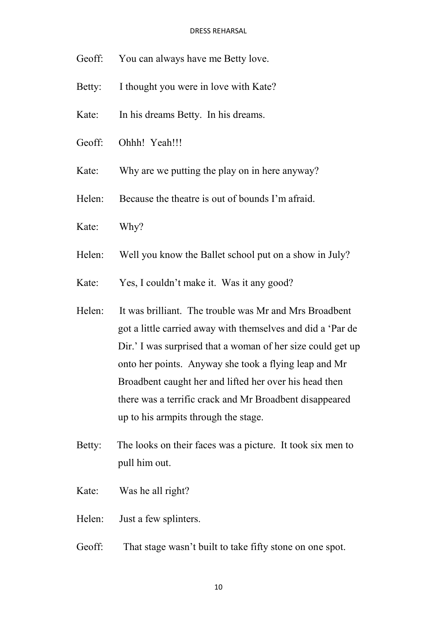- Geoff: You can always have me Betty love.
- Betty: I thought you were in love with Kate?
- Kate: In his dreams Betty. In his dreams.
- Geoff: Ohhh! Yeah!!!
- Kate: Why are we putting the play on in here anyway?
- Helen: Because the theatre is out of bounds I'm afraid.
- Kate: Why?
- Helen: Well you know the Ballet school put on a show in July?
- Kate: Yes, I couldn't make it. Was it any good?
- Helen: It was brilliant. The trouble was Mr and Mrs Broadbent got a little carried away with themselves and did a 'Par de Dir.' I was surprised that a woman of her size could get up onto her points. Anyway she took a flying leap and Mr Broadbent caught her and lifted her over his head then there was a terrific crack and Mr Broadbent disappeared up to his armpits through the stage.
- Betty: The looks on their faces was a picture. It took six men to pull him out.
- Kate: Was he all right?
- Helen: Just a few splinters.
- Geoff: That stage wasn't built to take fifty stone on one spot.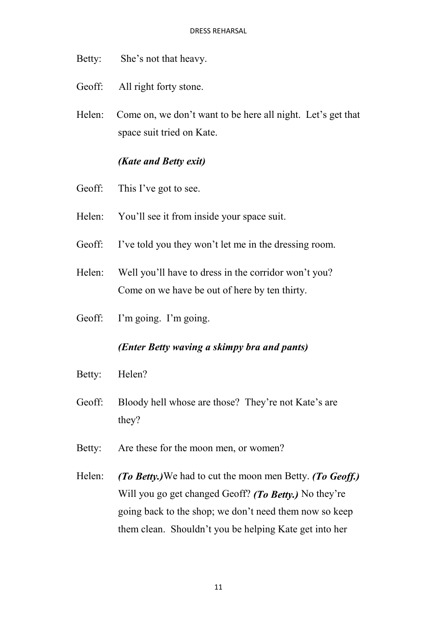- Betty: She's not that heavy.
- Geoff: All right forty stone.
- Helen: Come on, we don't want to be here all night. Let's get that space suit tried on Kate.

# *(Kate and Betty exit)*

- Geoff: This I've got to see.
- Helen: You'll see it from inside your space suit.
- Geoff: I've told you they won't let me in the dressing room.
- Helen: Well you'll have to dress in the corridor won't you? Come on we have be out of here by ten thirty.
- Geoff: I'm going. I'm going.

## *(Enter Betty waving a skimpy bra and pants)*

- Betty: Helen?
- Geoff: Bloody hell whose are those? They're not Kate's are they?
- Betty: Are these for the moon men, or women?
- Helen: *(To Betty.)*We had to cut the moon men Betty. *(To Geoff.)* Will you go get changed Geoff? *(To Betty.)* No they're going back to the shop; we don't need them now so keep them clean. Shouldn't you be helping Kate get into her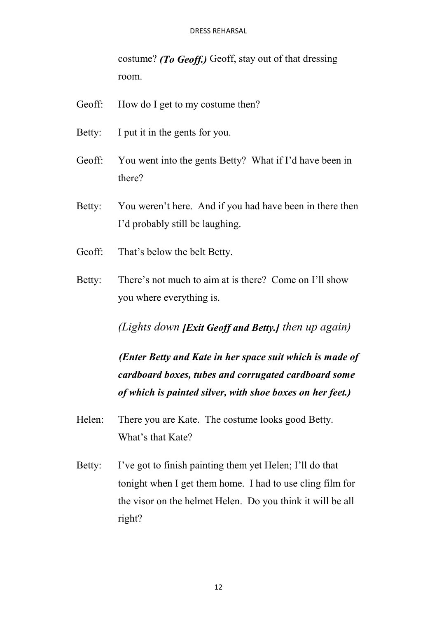costume? *(To Geoff.)* Geoff, stay out of that dressing room.

- Geoff: How do I get to my costume then?
- Betty: I put it in the gents for you.
- Geoff: You went into the gents Betty? What if I'd have been in there?
- Betty: You weren't here. And if you had have been in there then I'd probably still be laughing.
- Geoff: That's below the belt Betty.
- Betty: There's not much to aim at is there? Come on I'll show you where everything is.

*(Lights down [Exit Geoff and Betty.] then up again)*

*(Enter Betty and Kate in her space suit which is made of cardboard boxes, tubes and corrugated cardboard some of which is painted silver, with shoe boxes on her feet.)*

- Helen: There you are Kate. The costume looks good Betty. What's that Kate?
- Betty: I've got to finish painting them yet Helen; I'll do that tonight when I get them home. I had to use cling film for the visor on the helmet Helen. Do you think it will be all right?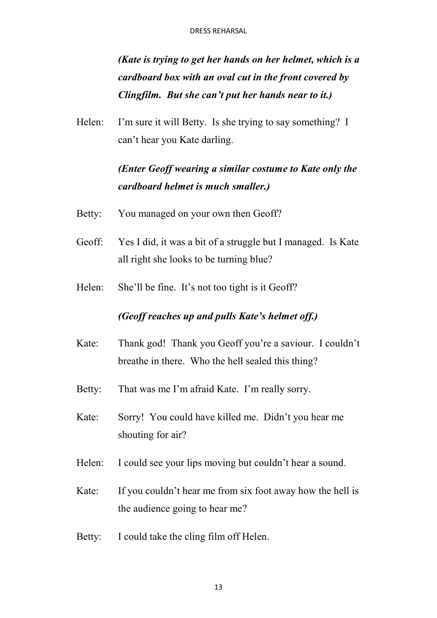*(Kate is trying to get her hands on her helmet, which is a cardboard box with an oval cut in the front covered by Clingfilm. But she can't put her hands near to it.)*

Helen: I'm sure it will Betty. Is she trying to say something? I can't hear you Kate darling.

# *(Enter Geoff wearing a similar costume to Kate only the cardboard helmet is much smaller.)*

- Betty: You managed on your own then Geoff?
- Geoff: Yes I did, it was a bit of a struggle but I managed. Is Kate all right she looks to be turning blue?
- Helen: She'll be fine. It's not too tight is it Geoff?

## *(Geoff reaches up and pulls Kate's helmet off.)*

- Kate: Thank god! Thank you Geoff you're a saviour. I couldn't breathe in there. Who the hell sealed this thing?
- Betty: That was me I'm afraid Kate. I'm really sorry.
- Kate: Sorry! You could have killed me. Didn't you hear me shouting for air?
- Helen: I could see your lips moving but couldn't hear a sound.
- Kate: If you couldn't hear me from six foot away how the hell is the audience going to hear me?
- Betty: I could take the cling film off Helen.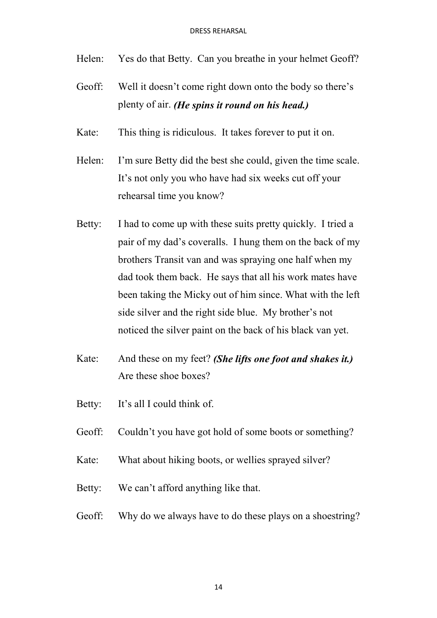- Helen: Yes do that Betty. Can you breathe in your helmet Geoff?
- Geoff: Well it doesn't come right down onto the body so there's plenty of air. *(He spins it round on his head.)*
- Kate: This thing is ridiculous. It takes forever to put it on.
- Helen: I'm sure Betty did the best she could, given the time scale. It's not only you who have had six weeks cut off your rehearsal time you know?
- Betty: I had to come up with these suits pretty quickly. I tried a pair of my dad's coveralls. I hung them on the back of my brothers Transit van and was spraying one half when my dad took them back. He says that all his work mates have been taking the Micky out of him since. What with the left side silver and the right side blue. My brother's not noticed the silver paint on the back of his black van yet.
- Kate: And these on my feet? *(She lifts one foot and shakes it.)* Are these shoe boxes?
- Betty: It's all I could think of.
- Geoff: Couldn't you have got hold of some boots or something?
- Kate: What about hiking boots, or wellies sprayed silver?
- Betty: We can't afford anything like that.
- Geoff: Why do we always have to do these plays on a shoestring?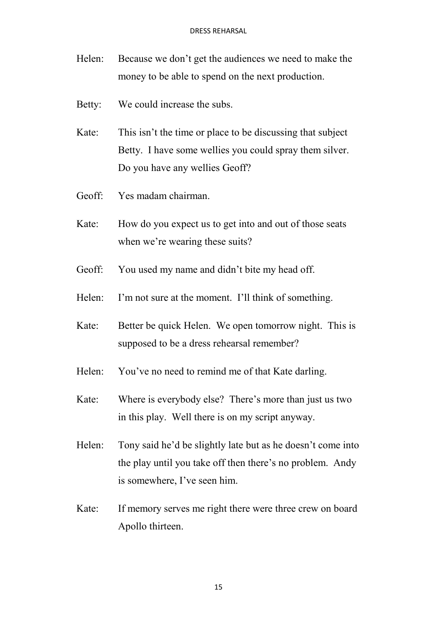- Helen: Because we don't get the audiences we need to make the money to be able to spend on the next production.
- Betty: We could increase the subs.
- Kate: This isn't the time or place to be discussing that subject Betty. I have some wellies you could spray them silver. Do you have any wellies Geoff?
- Geoff: Yes madam chairman.
- Kate: How do you expect us to get into and out of those seats when we're wearing these suits?
- Geoff: You used my name and didn't bite my head off.
- Helen: I'm not sure at the moment. I'll think of something.
- Kate: Better be quick Helen. We open tomorrow night. This is supposed to be a dress rehearsal remember?
- Helen: You've no need to remind me of that Kate darling.
- Kate: Where is everybody else? There's more than just us two in this play. Well there is on my script anyway.
- Helen: Tony said he'd be slightly late but as he doesn't come into the play until you take off then there's no problem. Andy is somewhere, I've seen him.
- Kate: If memory serves me right there were three crew on board Apollo thirteen.

15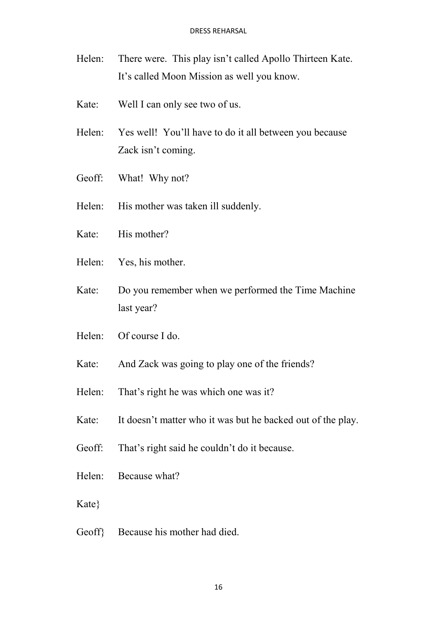- Helen: There were. This play isn't called Apollo Thirteen Kate. It's called Moon Mission as well you know.
- Kate: Well I can only see two of us.
- Helen: Yes well! You'll have to do it all between you because Zack isn't coming.
- Geoff: What! Why not?
- Helen: His mother was taken ill suddenly.
- Kate: His mother?
- Helen: Yes, his mother.
- Kate: Do you remember when we performed the Time Machine last year?
- Helen: Of course I do.
- Kate: And Zack was going to play one of the friends?
- Helen: That's right he was which one was it?
- Kate: It doesn't matter who it was but he backed out of the play.
- Geoff: That's right said he couldn't do it because.
- Helen: Because what?
- Kate}
- Geoff} Because his mother had died.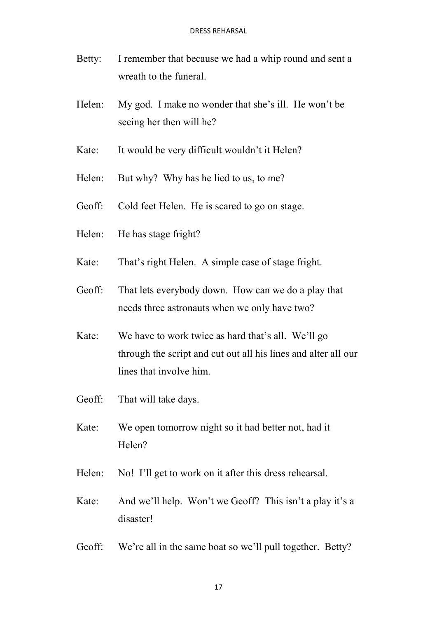- Betty: I remember that because we had a whip round and sent a wreath to the funeral.
- Helen: My god. I make no wonder that she's ill. He won't be seeing her then will he?
- Kate: It would be very difficult wouldn't it Helen?
- Helen: But why? Why has he lied to us, to me?
- Geoff: Cold feet Helen. He is scared to go on stage.
- Helen: He has stage fright?
- Kate: That's right Helen. A simple case of stage fright.
- Geoff: That lets everybody down. How can we do a play that needs three astronauts when we only have two?
- Kate: We have to work twice as hard that's all. We'll go through the script and cut out all his lines and alter all our lines that involve him.
- Geoff: That will take days.
- Kate: We open tomorrow night so it had better not, had it Helen?
- Helen: No! I'll get to work on it after this dress rehearsal.
- Kate: And we'll help. Won't we Geoff? This isn't a play it's a disaster!
- Geoff: We're all in the same boat so we'll pull together. Betty?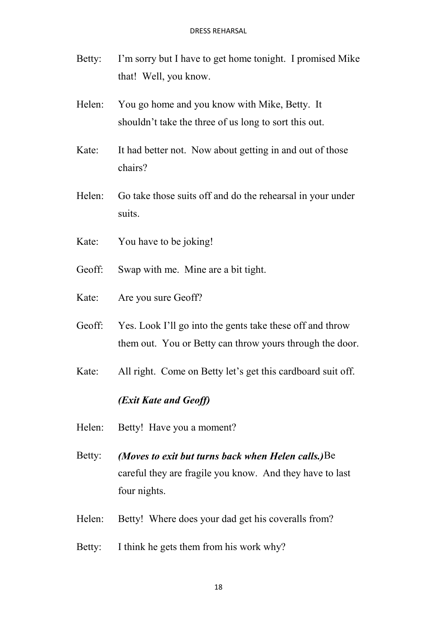- Betty: I'm sorry but I have to get home tonight. I promised Mike that! Well, you know.
- Helen: You go home and you know with Mike, Betty. It shouldn't take the three of us long to sort this out.
- Kate: It had better not. Now about getting in and out of those chairs?
- Helen: Go take those suits off and do the rehearsal in your under suits.
- Kate: You have to be joking!
- Geoff: Swap with me. Mine are a bit tight.
- Kate: Are you sure Geoff?
- Geoff: Yes. Look I'll go into the gents take these off and throw them out. You or Betty can throw yours through the door.
- Kate: All right. Come on Betty let's get this cardboard suit off.

## *(Exit Kate and Geoff)*

- Helen: Betty! Have you a moment?
- Betty: *(Moves to exit but turns back when Helen calls.)*Be careful they are fragile you know. And they have to last four nights.
- Helen: Betty! Where does your dad get his coveralls from?
- Betty: I think he gets them from his work why?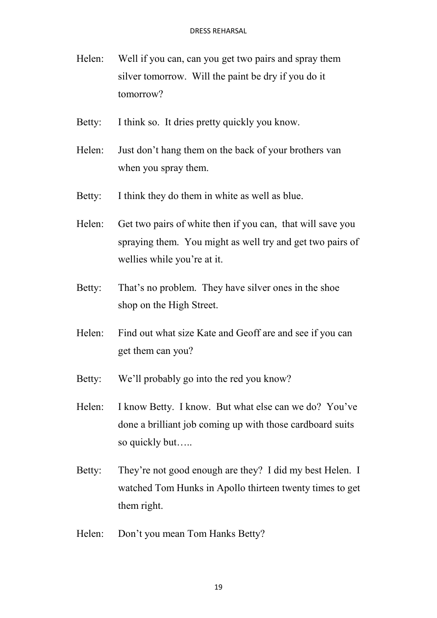- Helen: Well if you can, can you get two pairs and spray them silver tomorrow. Will the paint be dry if you do it tomorrow?
- Betty: I think so. It dries pretty quickly you know.
- Helen: Just don't hang them on the back of your brothers van when you spray them.
- Betty: I think they do them in white as well as blue.
- Helen: Get two pairs of white then if you can, that will save you spraying them. You might as well try and get two pairs of wellies while you're at it.
- Betty: That's no problem. They have silver ones in the shoe shop on the High Street.
- Helen: Find out what size Kate and Geoff are and see if you can get them can you?
- Betty: We'll probably go into the red you know?
- Helen: I know Betty. I know. But what else can we do? You've done a brilliant job coming up with those cardboard suits so quickly but…..
- Betty: They're not good enough are they? I did my best Helen. I watched Tom Hunks in Apollo thirteen twenty times to get them right.
- Helen: Don't you mean Tom Hanks Betty?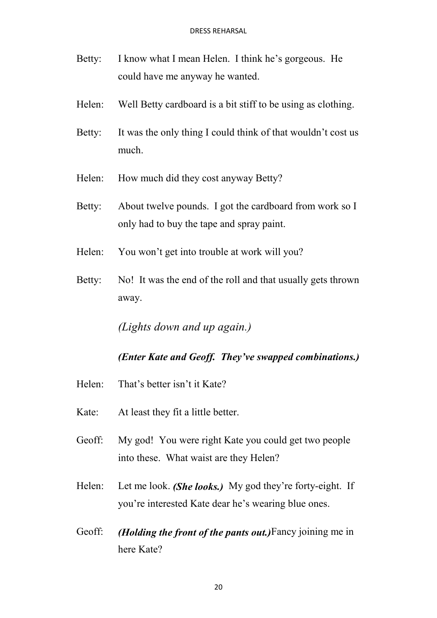- Betty: I know what I mean Helen. I think he's gorgeous. He could have me anyway he wanted.
- Helen: Well Betty cardboard is a bit stiff to be using as clothing.
- Betty: It was the only thing I could think of that wouldn't cost us much.
- Helen: How much did they cost anyway Betty?
- Betty: About twelve pounds. I got the cardboard from work so I only had to buy the tape and spray paint.
- Helen: You won't get into trouble at work will you?
- Betty: No! It was the end of the roll and that usually gets thrown away.

*(Lights down and up again.)*

## *(Enter Kate and Geoff. They've swapped combinations.)*

- Helen: That's better isn't it Kate?
- Kate: At least they fit a little better.
- Geoff: My god! You were right Kate you could get two people into these. What waist are they Helen?
- Helen: Let me look. *(She looks.)* My god they're forty-eight. If you're interested Kate dear he's wearing blue ones.
- Geoff: *(Holding the front of the pants out.)*Fancy joining me in here Kate?